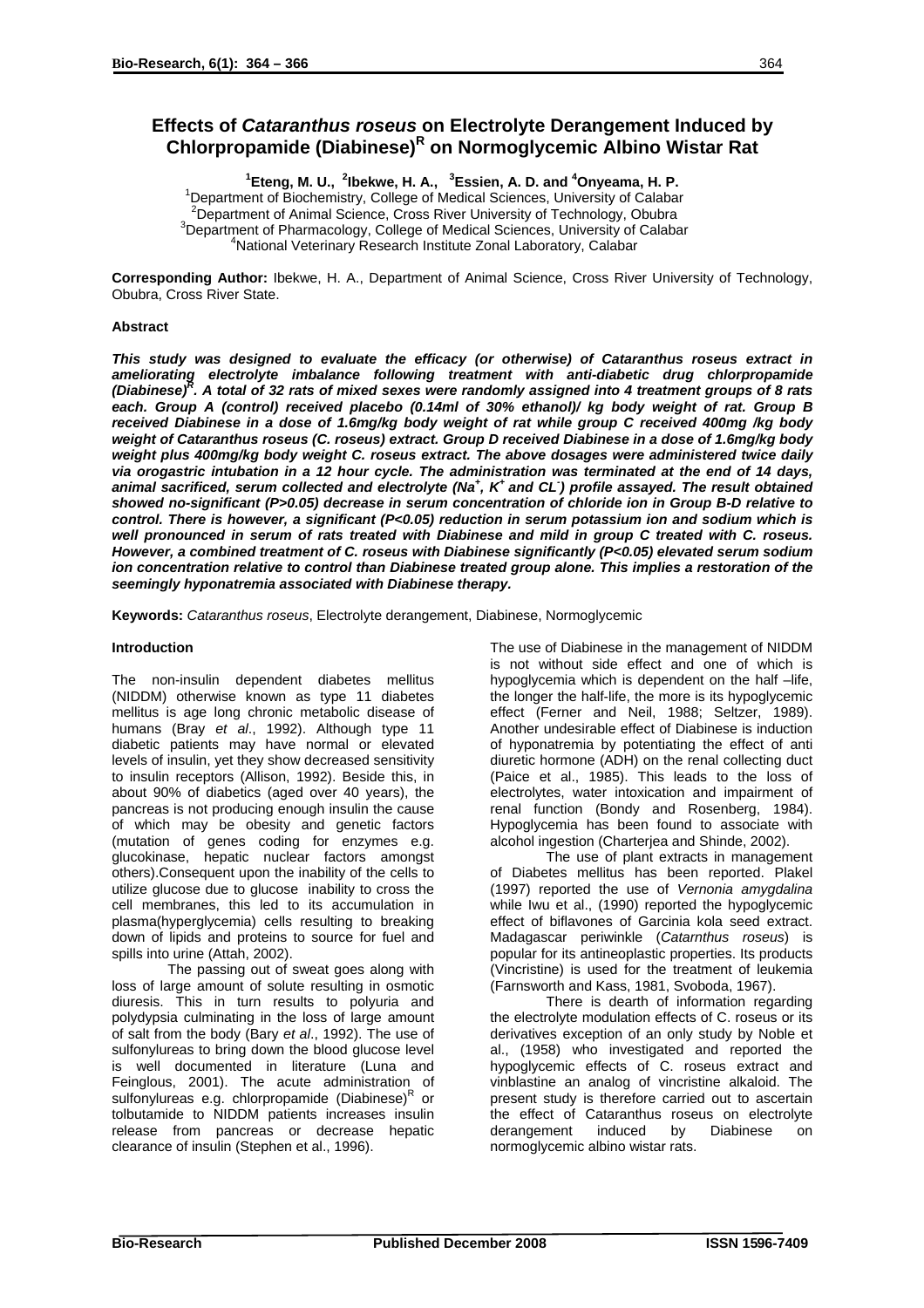# **Effects of** *Cataranthus roseus* **on Electrolyte Derangement Induced by Chlorpropamide (Diabinese)<sup>R</sup> on Normoglycemic Albino Wistar Rat**

<sup>1</sup> Eteng, M. U., <sup>2</sup> Ibekwe, H. A., <sup>3</sup> Essien, A. D. and <sup>4</sup> Onyeama, H. P.

<sup>1</sup> Department of Biochemistry, College of Medical Sciences, University of Calabar <sup>2</sup> Department of Animal Science, Cross River University of Technology, Obubra <sup>3</sup>Department of Pharmacology, College of Medical Sciences, University of Calabar National Veterinary Research Institute Zonal Laboratory, Calabar

**Corresponding Author:** Ibekwe, H. A., Department of Animal Science, Cross River University of Technology, Obubra, Cross River State.

## **Abstract**

*This study was designed to evaluate the efficacy (or otherwise) of Cataranthus roseus extract in ameliorating electrolyte imbalance following treatment with anti-diabetic drug chlorpropamide (Diabinese)<sup>R</sup> . A total of 32 rats of mixed sexes were randomly assigned into 4 treatment groups of 8 rats each. Group A (control) received placebo (0.14ml of 30% ethanol)/ kg body weight of rat. Group B received Diabinese in a dose of 1.6mg/kg body weight of rat while group C received 400mg /kg body weight of Cataranthus roseus (C. roseus) extract. Group D received Diabinese in a dose of 1.6mg/kg body weight plus 400mg/kg body weight C. roseus extract. The above dosages were administered twice daily via orogastric intubation in a 12 hour cycle. The administration was terminated at the end of 14 days, animal sacrificed, serum collected and electrolyte (Na+ , K+ and CL- ) profile assayed. The result obtained showed no-significant (P>0.05) decrease in serum concentration of chloride ion in Group B-D relative to control. There is however, a significant (P<0.05) reduction in serum potassium ion and sodium which is well pronounced in serum of rats treated with Diabinese and mild in group C treated with C. roseus. However, a combined treatment of C. roseus with Diabinese significantly (P<0.05) elevated serum sodium ion concentration relative to control than Diabinese treated group alone. This implies a restoration of the seemingly hyponatremia associated with Diabinese therapy.* 

**Keywords:** *Cataranthus roseus*, Electrolyte derangement, Diabinese, Normoglycemic

# **Introduction**

The non-insulin dependent diabetes mellitus (NIDDM) otherwise known as type 11 diabetes mellitus is age long chronic metabolic disease of humans (Bray *et al*., 1992). Although type 11 diabetic patients may have normal or elevated levels of insulin, yet they show decreased sensitivity to insulin receptors (Allison, 1992). Beside this, in about 90% of diabetics (aged over 40 years), the pancreas is not producing enough insulin the cause of which may be obesity and genetic factors (mutation of genes coding for enzymes e.g. glucokinase, hepatic nuclear factors amongst others).Consequent upon the inability of the cells to utilize glucose due to glucose inability to cross the cell membranes, this led to its accumulation in plasma(hyperglycemia) cells resulting to breaking down of lipids and proteins to source for fuel and spills into urine (Attah, 2002).

The passing out of sweat goes along with loss of large amount of solute resulting in osmotic diuresis. This in turn results to polyuria and polydypsia culminating in the loss of large amount of salt from the body (Bary *et al*., 1992). The use of sulfonylureas to bring down the blood glucose level is well documented in literature (Luna and Feinglous, 2001). The acute administration of sulfonylureas e.g. chlorpropamide (Diabinese)<sup>R</sup> or tolbutamide to NIDDM patients increases insulin release from pancreas or decrease hepatic clearance of insulin (Stephen et al., 1996).

The use of Diabinese in the management of NIDDM is not without side effect and one of which is hypoglycemia which is dependent on the half –life, the longer the half-life, the more is its hypoglycemic effect (Ferner and Neil, 1988; Seltzer, 1989). Another undesirable effect of Diabinese is induction of hyponatremia by potentiating the effect of anti diuretic hormone (ADH) on the renal collecting duct (Paice et al., 1985). This leads to the loss of electrolytes, water intoxication and impairment of renal function (Bondy and Rosenberg, 1984). Hypoglycemia has been found to associate with alcohol ingestion (Charterjea and Shinde, 2002).

The use of plant extracts in management of Diabetes mellitus has been reported. Plakel (1997) reported the use of *Vernonia amygdalina* while Iwu et al., (1990) reported the hypoglycemic effect of biflavones of Garcinia kola seed extract. Madagascar periwinkle (*Catarnthus roseus*) is popular for its antineoplastic properties. Its products (Vincristine) is used for the treatment of leukemia (Farnsworth and Kass, 1981, Svoboda, 1967).

There is dearth of information regarding the electrolyte modulation effects of C. roseus or its derivatives exception of an only study by Noble et al., (1958) who investigated and reported the hypoglycemic effects of C. roseus extract and vinblastine an analog of vincristine alkaloid. The present study is therefore carried out to ascertain the effect of Cataranthus roseus on electrolyte derangement induced by Diabinese on normoglycemic albino wistar rats.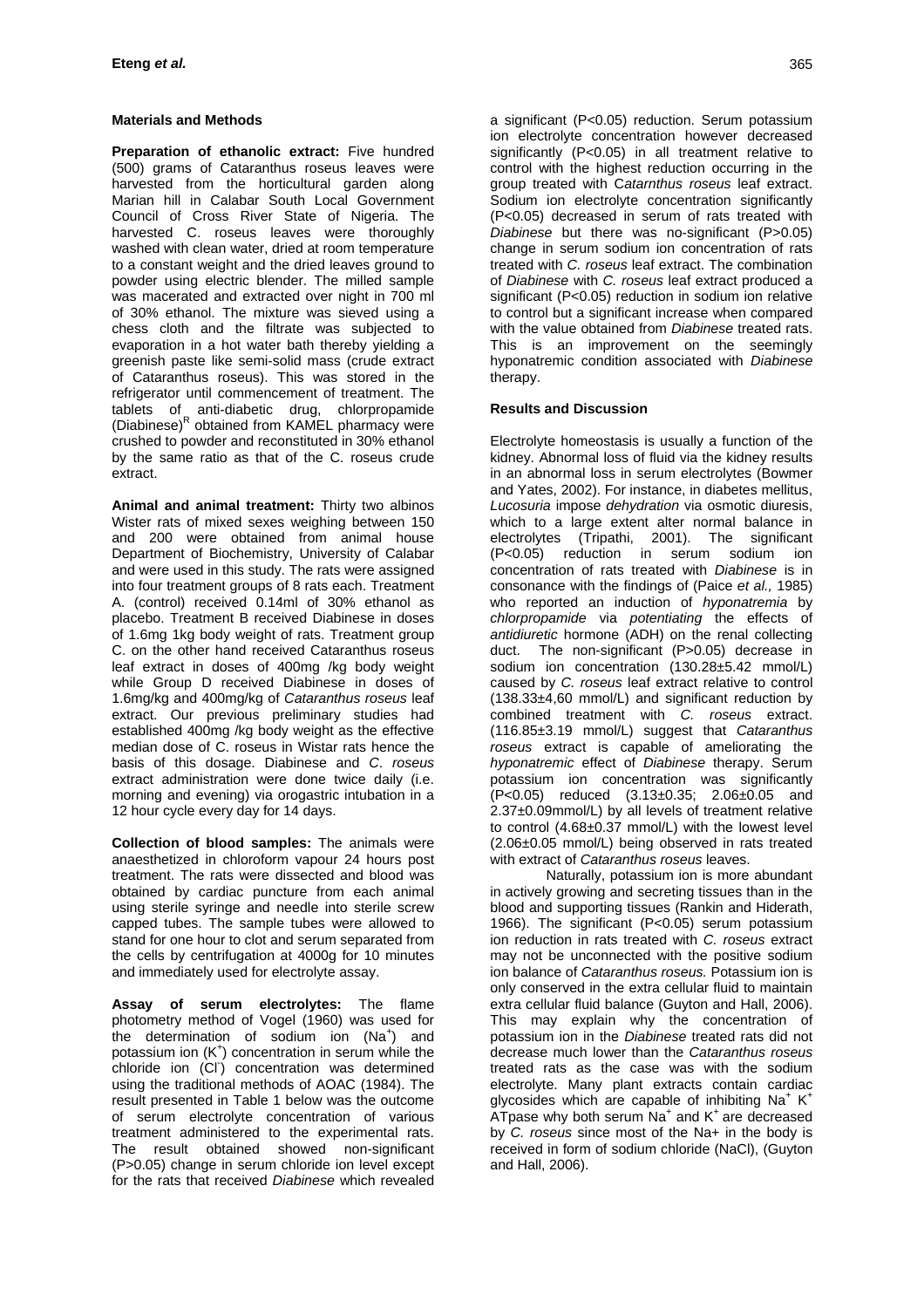# **Materials and Methods**

 **Preparation of ethanolic extract:** Five hundred (500) grams of Cataranthus roseus leaves were harvested from the horticultural garden along Marian hill in Calabar South Local Government Council of Cross River State of Nigeria. The harvested C. roseus leaves were thoroughly washed with clean water, dried at room temperature to a constant weight and the dried leaves ground to powder using electric blender. The milled sample was macerated and extracted over night in 700 ml of 30% ethanol. The mixture was sieved using a chess cloth and the filtrate was subjected to evaporation in a hot water bath thereby yielding a greenish paste like semi-solid mass (crude extract of Cataranthus roseus). This was stored in the refrigerator until commencement of treatment. The tablets of anti-diabetic drug, chlorpropamide (Diabinese)<sup>R</sup> obtained from KAMEL pharmacy were crushed to powder and reconstituted in 30% ethanol by the same ratio as that of the C. roseus crude extract.

 **Animal and animal treatment:** Thirty two albinos Wister rats of mixed sexes weighing between 150 and 200 were obtained from animal house Department of Biochemistry, University of Calabar and were used in this study. The rats were assigned into four treatment groups of 8 rats each. Treatment A. (control) received 0.14ml of 30% ethanol as placebo. Treatment B received Diabinese in doses of 1.6mg 1kg body weight of rats. Treatment group C. on the other hand received Cataranthus roseus leaf extract in doses of 400mg /kg body weight while Group D received Diabinese in doses of 1.6mg/kg and 400mg/kg of *Cataranthus roseus* leaf extract. Our previous preliminary studies had established 400mg /kg body weight as the effective median dose of C. roseus in Wistar rats hence the basis of this dosage. Diabinese and *C*. *roseus* extract administration were done twice daily (i.e. morning and evening) via orogastric intubation in a 12 hour cycle every day for 14 days.

 **Collection of blood samples:** The animals were anaesthetized in chloroform vapour 24 hours post treatment. The rats were dissected and blood was obtained by cardiac puncture from each animal using sterile syringe and needle into sterile screw capped tubes. The sample tubes were allowed to stand for one hour to clot and serum separated from the cells by centrifugation at 4000g for 10 minutes and immediately used for electrolyte assay.

**Assay of serum electrolytes:** The flame photometry method of Vogel (1960) was used for the determination of sodium ion (Na<sup>+</sup>) and potassium ion  $(K^+)$  concentration in serum while the .<br>chloride ion (CI<sup>-</sup>) concentration was determined using the traditional methods of AOAC (1984). The result presented in Table 1 below was the outcome of serum electrolyte concentration of various treatment administered to the experimental rats. The result obtained showed non-significant (P>0.05) change in serum chloride ion level except for the rats that received *Diabinese* which revealed

a significant (P<0.05) reduction. Serum potassium ion electrolyte concentration however decreased significantly (P<0.05) in all treatment relative to control with the highest reduction occurring in the group treated with C*atarnthus roseus* leaf extract. Sodium ion electrolyte concentration significantly (P<0.05) decreased in serum of rats treated with *Diabinese* but there was no-significant (P>0.05) change in serum sodium ion concentration of rats treated with *C. roseus* leaf extract. The combination of *Diabinese* with *C. roseus* leaf extract produced a significant (P<0.05) reduction in sodium ion relative to control but a significant increase when compared with the value obtained from *Diabinese* treated rats. This is an improvement on the seemingly hyponatremic condition associated with *Diabinese* therapy.

## **Results and Discussion**

Electrolyte homeostasis is usually a function of the kidney. Abnormal loss of fluid via the kidney results in an abnormal loss in serum electrolytes (Bowmer and Yates, 2002). For instance, in diabetes mellitus, *Lucosuria* impose *dehydration* via osmotic diuresis, which to a large extent alter normal balance in electrolytes (Tripathi, 2001). The significant (P<0.05) reduction in serum sodium ion concentration of rats treated with *Diabinese* is in consonance with the findings of (Paice *et al.,* 1985) who reported an induction of *hyponatremia* by *chlorpropamide* via *potentiating* the effects of *antidiuretic* hormone (ADH) on the renal collecting duct. The non-significant (P>0.05) decrease in sodium ion concentration (130.28±5.42 mmol/L) caused by *C. roseus* leaf extract relative to control (138.33±4,60 mmol/L) and significant reduction by combined treatment with *C. roseus* extract. (116.85±3.19 mmol/L) suggest that *Cataranthus roseus* extract is capable of ameliorating the *hyponatremic* effect of *Diabinese* therapy. Serum potassium ion concentration was significantly (P<0.05) reduced (3.13±0.35; 2.06±0.05 and 2.37±0.09mmol/L) by all levels of treatment relative to control (4.68±0.37 mmol/L) with the lowest level (2.06±0.05 mmol/L) being observed in rats treated with extract of *Cataranthus roseus* leaves.

 Naturally, potassium ion is more abundant in actively growing and secreting tissues than in the blood and supporting tissues (Rankin and Hiderath, 1966). The significant (P<0.05) serum potassium ion reduction in rats treated with *C. roseus* extract may not be unconnected with the positive sodium ion balance of *Cataranthus roseus.* Potassium ion is only conserved in the extra cellular fluid to maintain extra cellular fluid balance (Guyton and Hall, 2006). This may explain why the concentration of potassium ion in the *Diabinese* treated rats did not decrease much lower than the *Cataranthus roseus* treated rats as the case was with the sodium electrolyte. Many plant extracts contain cardiac glycosides which are capable of inhibiting Na<sup>+</sup> K<sup>+</sup>  $\overline{AT}$ pase why both serum  $\overline{Na}^+$  and  $K^+$  are decreased by *C. roseus* since most of the Na+ in the body is received in form of sodium chloride (NaCl), (Guyton and Hall, 2006).